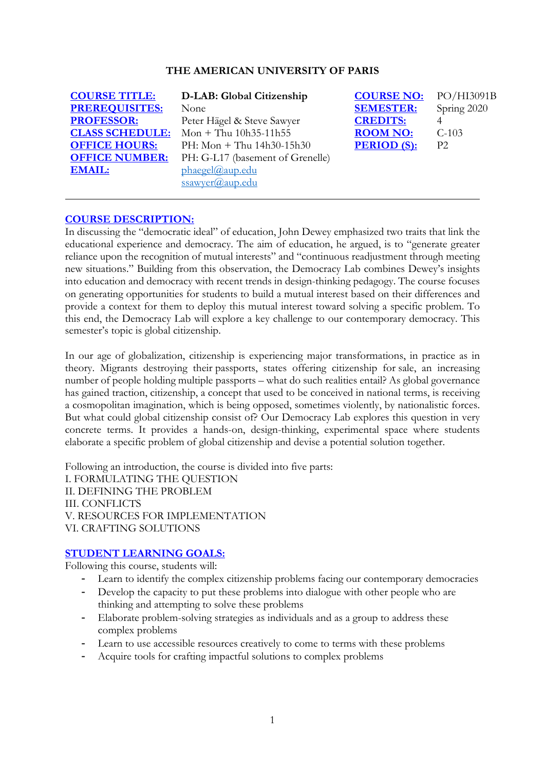#### **THE AMERICAN UNIVERSITY OF PARIS**

| <b>COURSE TITLE:</b>   | D-LAB: Global Citizenship        | <b>COURSE NO:</b>  | PO/F           |
|------------------------|----------------------------------|--------------------|----------------|
| <b>PREREQUISITES:</b>  | None                             | <b>SEMESTER:</b>   | Spring         |
| <b>PROFESSOR:</b>      | Peter Hägel & Steve Sawyer       | <b>CREDITS:</b>    |                |
| <b>CLASS SCHEDULE:</b> | Mon + Thu $10h35-11h55$          | <b>ROOM NO:</b>    | $C-103$        |
| <b>OFFICE HOURS:</b>   | PH: Mon + Thu $14h30-15h30$      | <b>PERIOD</b> (S): | P <sub>2</sub> |
| <b>OFFICE NUMBER:</b>  | PH: G-L17 (basement of Grenelle) |                    |                |
| <b>EMAIL:</b>          | phaegel@aup.edu                  |                    |                |
|                        | ssawver@aup.edu                  |                    |                |

**COURSE TITLE: D-LAB: Global Citizenship COURSE NO:** PO/HI3091B **PREREQUISITES:** None **SEMESTER:** Spring 2020 **P2** 

### **COURSE DESCRIPTION:**

In discussing the "democratic ideal" of education, John Dewey emphasized two traits that link the educational experience and democracy. The aim of education, he argued, is to "generate greater reliance upon the recognition of mutual interests" and "continuous readjustment through meeting new situations." Building from this observation, the Democracy Lab combines Dewey's insights into education and democracy with recent trends in design-thinking pedagogy. The course focuses on generating opportunities for students to build a mutual interest based on their differences and provide a context for them to deploy this mutual interest toward solving a specific problem. To this end, the Democracy Lab will explore a key challenge to our contemporary democracy. This semester's topic is global citizenship.

In our age of globalization, citizenship is experiencing major transformations, in practice as in theory. Migrants destroying their passports, states offering citizenship for sale, an increasing number of people holding multiple passports – what do such realities entail? As global governance has gained traction, citizenship, a concept that used to be conceived in national terms, is receiving a cosmopolitan imagination, which is being opposed, sometimes violently, by nationalistic forces. But what could global citizenship consist of? Our Democracy Lab explores this question in very concrete terms. It provides a hands-on, design-thinking, experimental space where students elaborate a specific problem of global citizenship and devise a potential solution together.

Following an introduction, the course is divided into five parts: I. FORMULATING THE QUESTION II. DEFINING THE PROBLEM III. CONFLICTS V. RESOURCES FOR IMPLEMENTATION VI. CRAFTING SOLUTIONS

#### **STUDENT LEARNING GOALS:**

Following this course, students will:

- Learn to identify the complex citizenship problems facing our contemporary democracies
- Develop the capacity to put these problems into dialogue with other people who are thinking and attempting to solve these problems
- Elaborate problem-solving strategies as individuals and as a group to address these complex problems
- Learn to use accessible resources creatively to come to terms with these problems
- Acquire tools for crafting impactful solutions to complex problems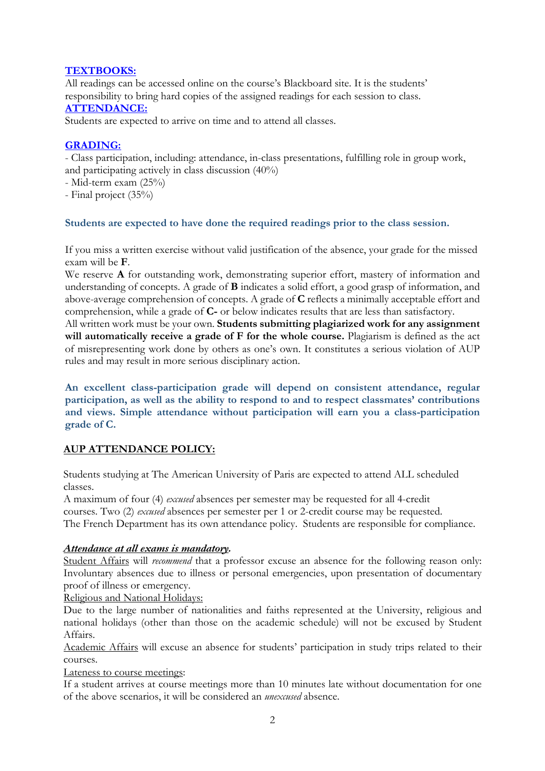### **TEXTBOOKS:**

All readings can be accessed online on the course's Blackboard site. It is the students' responsibility to bring hard copies of the assigned readings for each session to class. **ATTENDANCE:**

Students are expected to arrive on time and to attend all classes.

# **GRADING:**

- Class participation, including: attendance, in-class presentations, fulfilling role in group work, and participating actively in class discussion (40%)

- Mid-term exam (25%)
- Final project (35%)

### **Students are expected to have done the required readings prior to the class session.**

If you miss a written exercise without valid justification of the absence, your grade for the missed exam will be **F**.

We reserve **A** for outstanding work, demonstrating superior effort, mastery of information and understanding of concepts. A grade of **B** indicates a solid effort, a good grasp of information, and above-average comprehension of concepts. A grade of **C** reflects a minimally acceptable effort and comprehension, while a grade of **C-** or below indicates results that are less than satisfactory.

All written work must be your own. **Students submitting plagiarized work for any assignment will automatically receive a grade of F for the whole course.** Plagiarism is defined as the act of misrepresenting work done by others as one's own. It constitutes a serious violation of AUP rules and may result in more serious disciplinary action.

**An excellent class-participation grade will depend on consistent attendance, regular participation, as well as the ability to respond to and to respect classmates' contributions and views. Simple attendance without participation will earn you a class-participation grade of C.**

# **AUP ATTENDANCE POLICY:**

Students studying at The American University of Paris are expected to attend ALL scheduled classes.

A maximum of four (4) *excused* absences per semester may be requested for all 4-credit courses. Two (2) *excused* absences per semester per 1 or 2-credit course may be requested. The French Department has its own attendance policy. Students are responsible for compliance.

### *Attendance at all exams is mandatory.*

Student Affairs will *recommend* that a professor excuse an absence for the following reason only: Involuntary absences due to illness or personal emergencies, upon presentation of documentary proof of illness or emergency.

Religious and National Holidays:

Due to the large number of nationalities and faiths represented at the University, religious and national holidays (other than those on the academic schedule) will not be excused by Student Affairs.

Academic Affairs will excuse an absence for students' participation in study trips related to their courses.

Lateness to course meetings:

If a student arrives at course meetings more than 10 minutes late without documentation for one of the above scenarios, it will be considered an *unexcused* absence.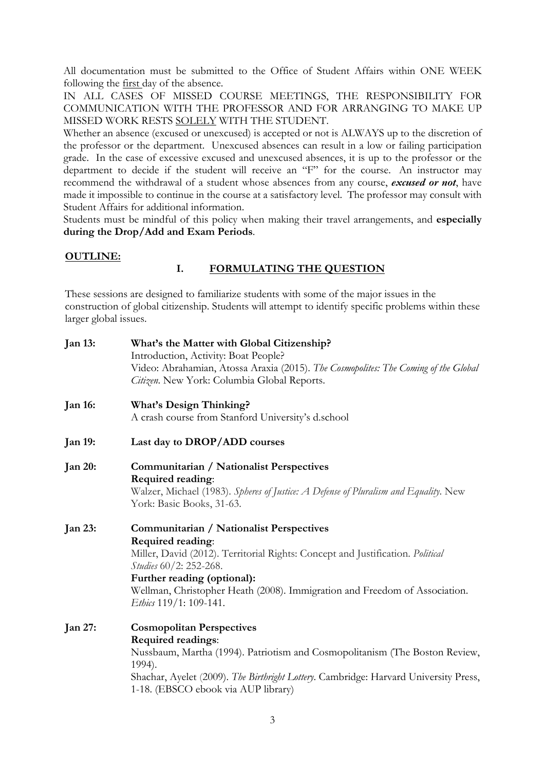All documentation must be submitted to the Office of Student Affairs within ONE WEEK following the first day of the absence.

IN ALL CASES OF MISSED COURSE MEETINGS, THE RESPONSIBILITY FOR COMMUNICATION WITH THE PROFESSOR AND FOR ARRANGING TO MAKE UP MISSED WORK RESTS SOLELY WITH THE STUDENT.

Whether an absence (excused or unexcused) is accepted or not is ALWAYS up to the discretion of the professor or the department. Unexcused absences can result in a low or failing participation grade. In the case of excessive excused and unexcused absences, it is up to the professor or the department to decide if the student will receive an "F" for the course. An instructor may recommend the withdrawal of a student whose absences from any course, *excused or not*, have made it impossible to continue in the course at a satisfactory level. The professor may consult with Student Affairs for additional information.

Students must be mindful of this policy when making their travel arrangements, and **especially during the Drop/Add and Exam Periods**.

#### **OUTLINE:**

### **I. FORMULATING THE QUESTION**

These sessions are designed to familiarize students with some of the major issues in the construction of global citizenship. Students will attempt to identify specific problems within these larger global issues.

| <b>Jan 13:</b> | What's the Matter with Global Citizenship?                                            |  |  |
|----------------|---------------------------------------------------------------------------------------|--|--|
|                | Introduction, Activity: Boat People?                                                  |  |  |
|                | Video: Abrahamian, Atossa Araxia (2015). The Cosmopolites: The Coming of the Global   |  |  |
|                | Citizen. New York: Columbia Global Reports.                                           |  |  |
| <b>Jan 16:</b> | <b>What's Design Thinking?</b>                                                        |  |  |
|                | A crash course from Stanford University's d.school                                    |  |  |
| <b>Jan 19:</b> | Last day to DROP/ADD courses                                                          |  |  |
| <b>Jan 20:</b> | Communitarian / Nationalist Perspectives                                              |  |  |
|                | Required reading:                                                                     |  |  |
|                | Walzer, Michael (1983). Spheres of Justice: A Defense of Pluralism and Equality. New  |  |  |
|                | York: Basic Books, 31-63.                                                             |  |  |
| <b>Jan 23:</b> | Communitarian / Nationalist Perspectives                                              |  |  |
|                | Required reading:                                                                     |  |  |
|                | Miller, David (2012). Territorial Rights: Concept and Justification. Political        |  |  |
|                | Studies 60/2: 252-268.                                                                |  |  |
|                | Further reading (optional):                                                           |  |  |
|                | Wellman, Christopher Heath (2008). Immigration and Freedom of Association.            |  |  |
|                | Ethics 119/1: 109-141.                                                                |  |  |
| Jan 27:        | <b>Cosmopolitan Perspectives</b>                                                      |  |  |
|                | Required readings:                                                                    |  |  |
|                | Nussbaum, Martha (1994). Patriotism and Cosmopolitanism (The Boston Review,<br>1994). |  |  |
|                | Shachar, Ayelet (2009). The Birthright Lottery. Cambridge: Harvard University Press,  |  |  |
|                | 1-18. (EBSCO ebook via AUP library)                                                   |  |  |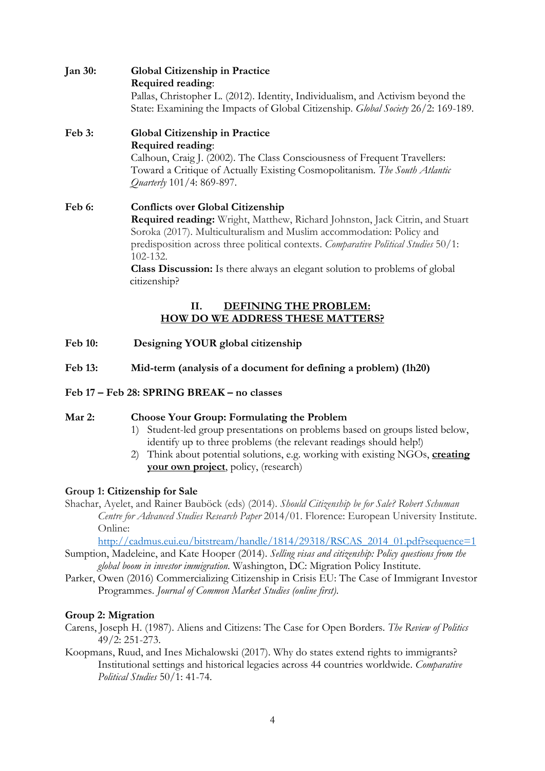## **Jan 30: Global Citizenship in Practice Required reading**:

Pallas, Christopher L. (2012). Identity, Individualism, and Activism beyond the State: Examining the Impacts of Global Citizenship. *Global Society* 26/2: 169-189.

# **Feb 3: Global Citizenship in Practice Required reading**:

Calhoun, Craig J. (2002). The Class Consciousness of Frequent Travellers: Toward a Critique of Actually Existing Cosmopolitanism. *The South Atlantic Quarterly* 101/4: 869-897.

# **Feb 6: Conflicts over Global Citizenship Required reading:** Wright, Matthew, Richard Johnston, Jack Citrin, and Stuart Soroka (2017). Multiculturalism and Muslim accommodation: Policy and predisposition across three political contexts. *Comparative Political Studies* 50/1: 102-132.

**Class Discussion:** Is there always an elegant solution to problems of global citizenship?

# **II. DEFINING THE PROBLEM: HOW DO WE ADDRESS THESE MATTERS?**

- **Feb 10: Designing YOUR global citizenship**
- **Feb 13: Mid-term (analysis of a document for defining a problem) (1h20)**

# **Feb 17 – Feb 28: SPRING BREAK – no classes**

# **Mar 2: Choose Your Group: Formulating the Problem**

- 1) Student-led group presentations on problems based on groups listed below, identify up to three problems (the relevant readings should help!)
- 2) Think about potential solutions, e.g. working with existing NGOs, **creating your own project**, policy, (research)

# **Group 1: Citizenship for Sale**

Shachar, Ayelet, and Rainer Bauböck (eds) (2014). *Should Citizenship be for Sale? Robert Schuman Centre for Advanced Studies Research Paper* 2014/01. Florence: European University Institute. Online:

http://cadmus.eui.eu/bitstream/handle/1814/29318/RSCAS\_2014\_01.pdf?sequence=1

Sumption, Madeleine, and Kate Hooper (2014). *Selling visas and citizenship: Policy questions from the global boom in investor immigration*. Washington, DC: Migration Policy Institute.

Parker, Owen (2016) Commercializing Citizenship in Crisis EU: The Case of Immigrant Investor Programmes. *Journal of Common Market Studies (online first)*.

# **Group 2: Migration**

- Carens, Joseph H. (1987). Aliens and Citizens: The Case for Open Borders. *The Review of Politics* 49/2: 251-273.
- Koopmans, Ruud, and Ines Michalowski (2017). Why do states extend rights to immigrants? Institutional settings and historical legacies across 44 countries worldwide. *Comparative Political Studies* 50/1: 41-74.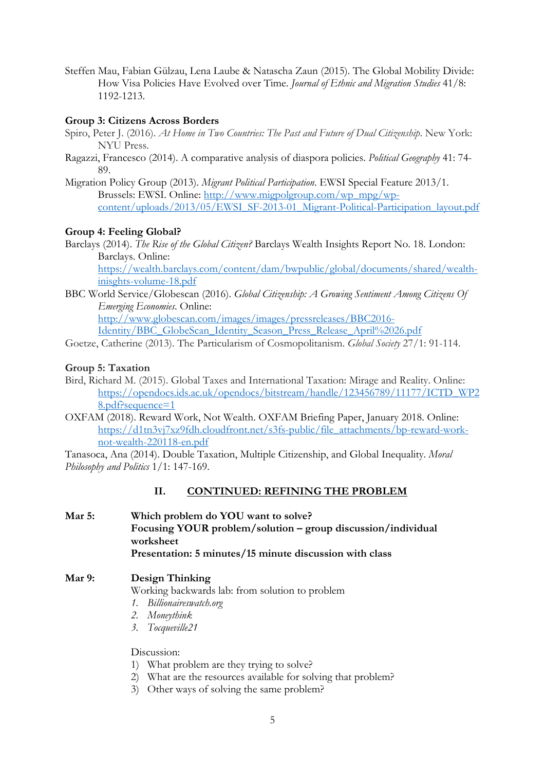Steffen Mau, Fabian Gülzau, Lena Laube & Natascha Zaun (2015). The Global Mobility Divide: How Visa Policies Have Evolved over Time. *Journal of Ethnic and Migration Studies* 41/8: 1192-1213.

## **Group 3: Citizens Across Borders**

- Spiro, Peter J. (2016). *At Home in Two Countries: The Past and Future of Dual Citizenship*. New York: NYU Press.
- Ragazzi, Francesco (2014). A comparative analysis of diaspora policies. *Political Geography* 41: 74- 89.

Migration Policy Group (2013). *Migrant Political Participation*. EWSI Special Feature 2013/1. Brussels: EWSI. Online: http://www.migpolgroup.com/wp\_mpg/wpcontent/uploads/2013/05/EWSI\_SF-2013-01\_Migrant-Political-Participation\_layout.pdf

## **Group 4: Feeling Global?**

Barclays (2014). *The Rise of the Global Citizen?* Barclays Wealth Insights Report No. 18. London: Barclays. Online:

https://wealth.barclays.com/content/dam/bwpublic/global/documents/shared/wealthinisghts-volume-18.pdf

BBC World Service/Globescan (2016). *Global Citizenship: A Growing Sentiment Among Citizens Of Emerging Economies*. Online: http://www.globescan.com/images/images/pressreleases/BBC2016-

Identity/BBC\_GlobeScan\_Identity\_Season\_Press\_Release\_April%2026.pdf

Goetze, Catherine (2013). The Particularism of Cosmopolitanism. *Global Society* 27/1: 91-114.

### **Group 5: Taxation**

- Bird, Richard M. (2015). Global Taxes and International Taxation: Mirage and Reality. Online: https://opendocs.ids.ac.uk/opendocs/bitstream/handle/123456789/11177/ICTD\_WP2 8.pdf?sequence=1
- OXFAM (2018). Reward Work, Not Wealth. OXFAM Briefing Paper, January 2018. Online: https://d1tn3vj7xz9fdh.cloudfront.net/s3fs-public/file\_attachments/bp-reward-worknot-wealth-220118-en.pdf

Tanasoca, Ana (2014). Double Taxation, Multiple Citizenship, and Global Inequality. *Moral Philosophy and Politics* 1/1: 147-169.

### **II. CONTINUED: REFINING THE PROBLEM**

**Mar 5: Which problem do YOU want to solve? Focusing YOUR problem/solution – group discussion/individual worksheet Presentation: 5 minutes/15 minute discussion with class**

# **Mar 9: Design Thinking**

Working backwards lab: from solution to problem

- *1. Billionaireswatch.org*
- *2. Moneythink*
- *3. Tocqueville21*

Discussion:

- 1) What problem are they trying to solve?
- 2) What are the resources available for solving that problem?
- 3) Other ways of solving the same problem?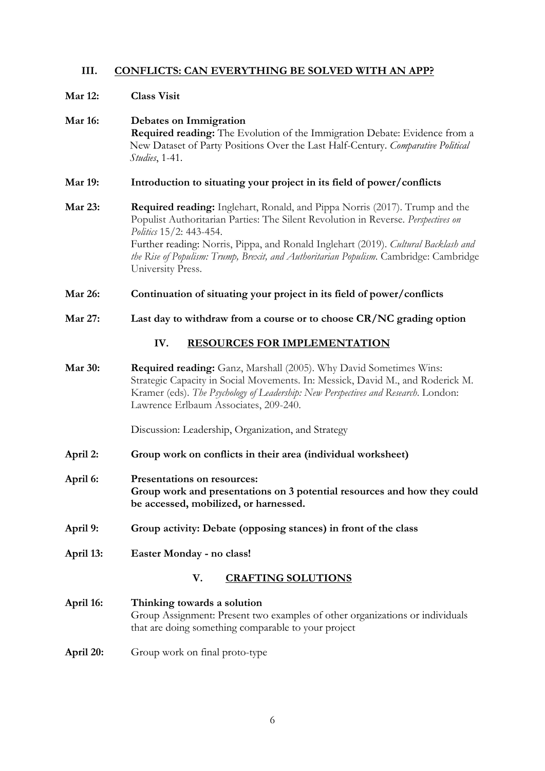# **III. CONFLICTS: CAN EVERYTHING BE SOLVED WITH AN APP?**

#### **Mar 12: Class Visit**

## **Mar 16: Debates on Immigration Required reading:** The Evolution of the Immigration Debate: Evidence from a New Dataset of Party Positions Over the Last Half-Century. *Comparative Political Studies*, 1-41.

- **Mar 19: Introduction to situating your project in its field of power/conflicts**
- **Mar 23: Required reading:** Inglehart, Ronald, and Pippa Norris (2017). Trump and the Populist Authoritarian Parties: The Silent Revolution in Reverse. *Perspectives on Politics* 15/2: 443-454. Further reading: Norris, Pippa, and Ronald Inglehart (2019). *Cultural Backlash and the Rise of Populism: Trump, Brexit, and Authoritarian Populism*. Cambridge: Cambridge University Press.
- **Mar 26: Continuation of situating your project in its field of power/conflicts**
- **Mar 27: Last day to withdraw from a course or to choose CR/NC grading option**

### **IV. RESOURCES FOR IMPLEMENTATION**

**Mar 30: Required reading:** Ganz, Marshall (2005). Why David Sometimes Wins: Strategic Capacity in Social Movements. In: Messick, David M., and Roderick M. Kramer (eds). *The Psychology of Leadership: New Perspectives and Research*. London: Lawrence Erlbaum Associates, 209-240.

Discussion: Leadership, Organization, and Strategy

- **April 2: Group work on conflicts in their area (individual worksheet)**
- **April 6: Presentations on resources: Group work and presentations on 3 potential resources and how they could be accessed, mobilized, or harnessed.**
- **April 9: Group activity: Debate (opposing stances) in front of the class**
- **April 13: Easter Monday - no class!**

### **V. CRAFTING SOLUTIONS**

- **April 16: Thinking towards a solution** Group Assignment: Present two examples of other organizations or individuals that are doing something comparable to your project
- **April 20:** Group work on final proto-type